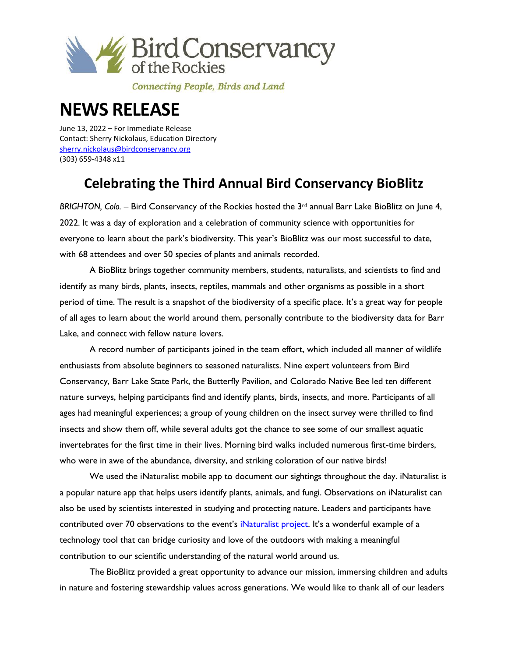

Connecting People, Birds and Land

## **NEWS RELEASE**

June 13, 2022 – For Immediate Release Contact: Sherry Nickolaus, Education Directory [sherry.nickolaus@birdconservancy.org](mailto:sherry.nickolaus@birdconservancy.org) (303) 659-4348 x11

## **Celebrating the Third Annual Bird Conservancy BioBlitz**

*BRIGHTON, Colo.* – Bird Conservancy of the Rockies hosted the 3<sup>rd</sup> annual Barr Lake BioBlitz on June 4, 2022. It was a day of exploration and a celebration of community science with opportunities for everyone to learn about the park's biodiversity. This year's BioBlitz was our most successful to date, with 68 attendees and over 50 species of plants and animals recorded.

A BioBlitz brings together community members, students, naturalists, and scientists to find and identify as many birds, plants, insects, reptiles, mammals and other organisms as possible in a short period of time. The result is a snapshot of the biodiversity of a specific place. It's a great way for people of all ages to learn about the world around them, personally contribute to the biodiversity data for Barr Lake, and connect with fellow nature lovers.

A record number of participants joined in the team effort, which included all manner of wildlife enthusiasts from absolute beginners to seasoned naturalists. Nine expert volunteers from Bird Conservancy, Barr Lake State Park, the Butterfly Pavilion, and Colorado Native Bee led ten different nature surveys, helping participants find and identify plants, birds, insects, and more. Participants of all ages had meaningful experiences; a group of young children on the insect survey were thrilled to find insects and show them off, while several adults got the chance to see some of our smallest aquatic invertebrates for the first time in their lives. Morning bird walks included numerous first-time birders, who were in awe of the abundance, diversity, and striking coloration of our native birds!

We used the iNaturalist mobile app to document our sightings throughout the day. iNaturalist is a popular nature app that helps users identify plants, animals, and fungi. Observations on iNaturalist can also be used by scientists interested in studying and protecting nature. Leaders and participants have contributed over 70 observations to the event's *iNaturalist project*. It's a wonderful example of a technology tool that can bridge curiosity and love of the outdoors with making a meaningful contribution to our scientific understanding of the natural world around us.

The BioBlitz provided a great opportunity to advance our mission, immersing children and adults in nature and fostering stewardship values across generations. We would like to thank all of our leaders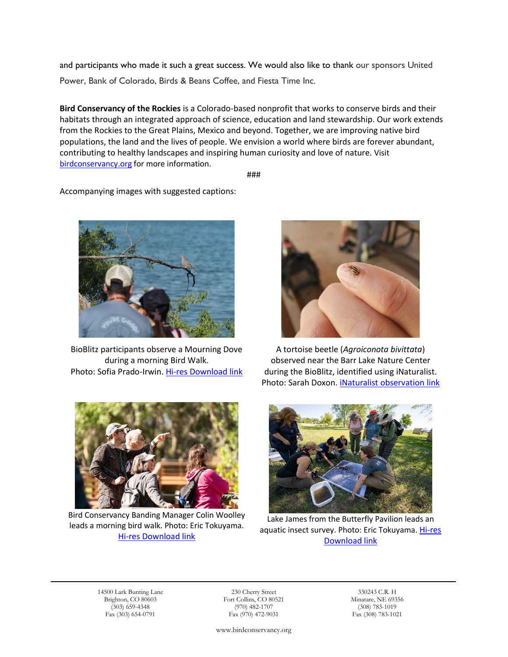and participants who made it such a great success. We would also like to thank our sponsors United Power, Bank of Colorado, Birds & Beans Coffee, and Fiesta Time Inc.

**Bird Conservancy of the Rockies** is a Colorado-based nonprofit that works to conserve birds and their habitats through an integrated approach of science, education and land stewardship. Our work extends from the Rockies to the Great Plains, Mexico and beyond. Together, we are improving native bird populations, the land and the lives of people. We envision a world where birds are forever abundant, contributing to healthy landscapes and inspiring human curiosity and love of nature. Visit [birdconservancy.org](http://www.birdconservancy.org/) for more information.

###

Accompanying images with suggested captions:



BioBlitz participants observe a Mourning Dove during a morning Bird Walk. Photo: Sofia Prado-Irwin. [Hi-res Download link](http://www.birdconservancy.org/wp-content/uploads/2022/06/participants_mourningdove_SPrado-Irwin-scaled.jpg)



A tortoise beetle (*Agroiconota bivittata*) observed near the Barr Lake Nature Center during the BioBlitz, identified using iNaturalist. Photo: Sarah Doxon. *iNaturalist observation link* 



Bird Conservancy Banding Manager Colin Woolley leads a morning bird walk. Photo: Eric Tokuyama. [Hi-res Download link](http://www.birdconservancy.org/wp-content/uploads/2022/06/BioBlitz-21-small.jpg)



Lake James from the Butterfly Pavilion leads an aquatic insect survey. Photo: Eric Tokuyama. Hi-res [Download link](http://www.birdconservancy.org/wp-content/uploads/2022/06/BioBlitz-26-scaled.jpg)

14500 Lark Bunting Lane 230 Cherry Street 330243 C.R. H

٦

Brighton, CO 80603 Fort Collins, CO 80521 Minatare, NE 69356<br>
(303) 659-4348 (970) 482-1707 (308) 783-1019  $(303)$  659-4348  $(970)$  482-1707  $(308)$  783-1019 Fax  $(303)$  654-0791 Fax  $(970)$  472-9031 Fax  $(970)$  472-9031 Fax (970) 472-9031

www.birdconservancy.org